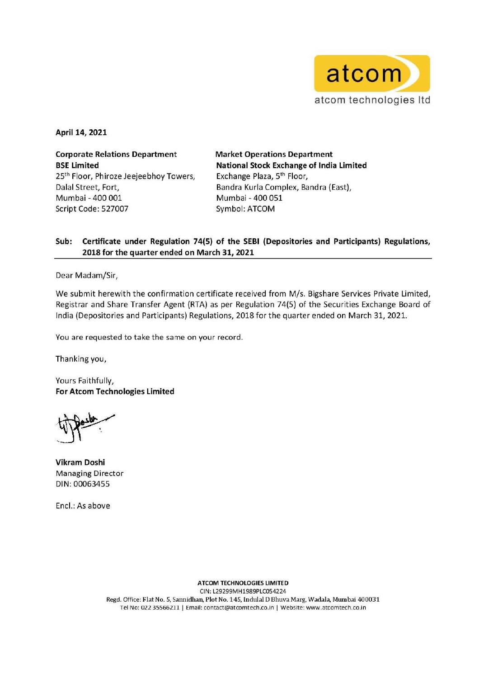

April 14, 2021

Corporate Relations Department BSE Limited 25<sup>th</sup> Floor, Phiroze Jeejeebhoy Towers, Dalal Street, Fort, Mumbai - 400 001 Script Code: 527007

Market Operations Department National Stock Exchange of India Limited Exchange Plaza, 5th Floor, Sandra Kurla Complex, Sandra (East), Mumbai - 400 051 Symbol: ATCOM

## Sub: Certificate under Regulation 74(S} of the SEBI (Depositories and Participants) Regulations, 2018 for the quarter ended on March 31, 2021

Dear Madam/Sir,

We submit herewith the confirmation certificate received from *M/s*. Bigshare Services Private Limited, Registrar and Share Transfer Agent (RTA) as per Regulation 74(5) of the Securities Exchange Board of India (Depositories and Participants) Regulations, 2018 for the quarter ended on March 31, 2021.

You are requested to take the same on your record.

Thanking you,

Yours Faithfully, For Atcom Technologies Limited

Vikram Doshi Managing Director DIN: 00063455

Enc!.: As above

ATCOM TECHNOLOGIES LIMITED CIN: l29299MH1989PlCOS4224 Regd. Office: Flat No. 5, Sannidhan, Plot No. 145, Indulal D Bhuva Marg, Wadala, Mumbai 400031 Tel No: 022 35566211 | Email: contact@atcomtech.co.in | Website: www.atcomtech.co.in